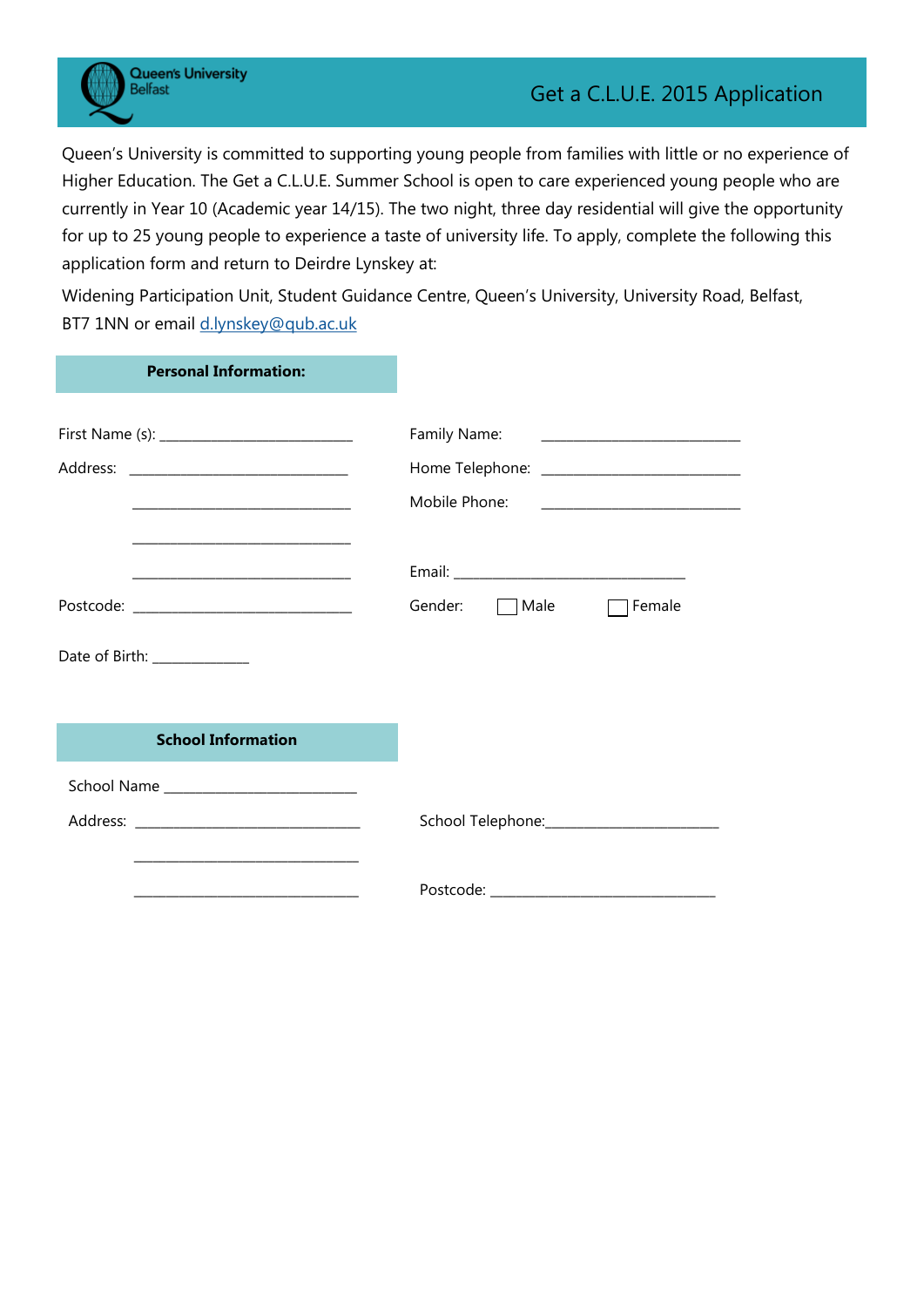**Queen's University Belfast** 

Queen's University is committed to supporting young people from families with little or no experience of Higher Education. The Get a C.L.U.E. Summer School is open to care experienced young people who are currently in Year 10 (Academic year 14/15). The two night, three day residential will give the opportunity for up to 25 young people to experience a taste of university life. To apply, complete the following this application form and return to Deirdre Lynskey at:

Widening Participation Unit, Student Guidance Centre, Queen's University, University Road, Belfast, BT7 1NN or email [d.lynskey@qub.ac.uk](mailto:d.lynskey@qub.ac.uk)

| <b>Personal Information:</b>                                                              |                                                                                                      |
|-------------------------------------------------------------------------------------------|------------------------------------------------------------------------------------------------------|
|                                                                                           | Family Name: 2008 2010 2021 2022 2023 2024 2022 2022 2023 2024 2022 2023 2024 2022 2023 2024 2022 20 |
| the control of the control of the control of the control of the control of the control of | Mobile Phone:                                                                                        |
|                                                                                           | Gender:<br>Male<br>Female<br>$\mathbf{I}$                                                            |
| Date of Birth: ______________                                                             |                                                                                                      |
| <b>School Information</b>                                                                 |                                                                                                      |
|                                                                                           |                                                                                                      |
| the control of the control of the control of the control of the control of the control of |                                                                                                      |
|                                                                                           |                                                                                                      |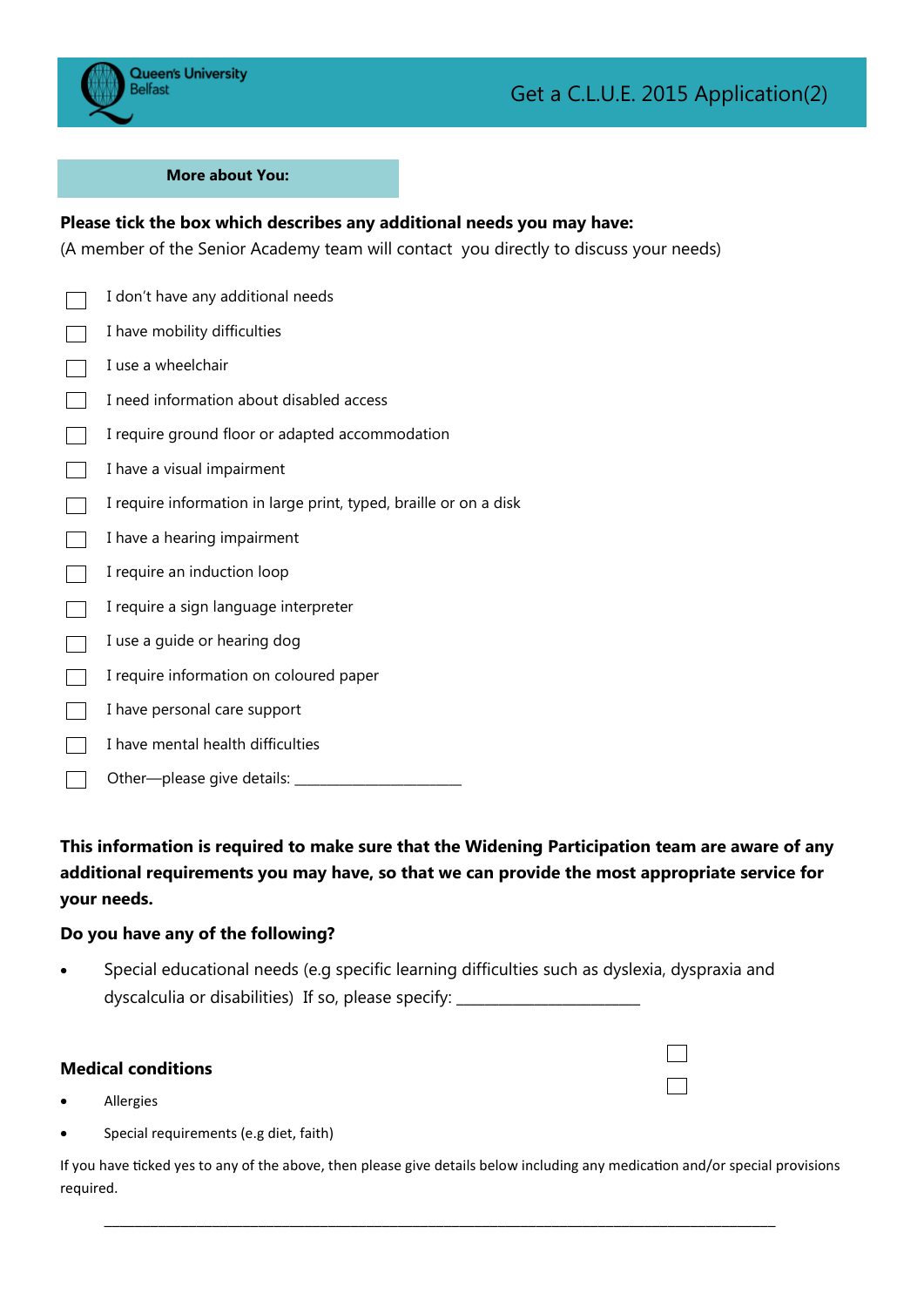

#### **More about You:**

# **Please tick the box which describes any additional needs you may have:**

(A member of the Senior Academy team will contact you directly to discuss your needs)

| I don't have any additional needs                                 |
|-------------------------------------------------------------------|
| I have mobility difficulties                                      |
| I use a wheelchair                                                |
| I need information about disabled access                          |
| I require ground floor or adapted accommodation                   |
| I have a visual impairment                                        |
| I require information in large print, typed, braille or on a disk |
| I have a hearing impairment                                       |
| I require an induction loop                                       |
| I require a sign language interpreter                             |
| I use a guide or hearing dog                                      |
| I require information on coloured paper                           |
| I have personal care support                                      |
| I have mental health difficulties                                 |
| Other-please give details:                                        |

**This information is required to make sure that the Widening Participation team are aware of any additional requirements you may have, so that we can provide the most appropriate service for your needs.**

## **Do you have any of the following?**

 Special educational needs (e.g specific learning difficulties such as dyslexia, dyspraxia and dyscalculia or disabilities) If so, please specify: \_\_\_\_\_\_\_\_\_\_\_\_\_\_\_\_\_\_\_\_\_\_\_\_\_\_\_\_

#### **Medical conditions**

- Allergies
- Special requirements (e.g diet, faith)

If you have ticked yes to any of the above, then please give details below including any medication and/or special provisions required.

\_\_\_\_\_\_\_\_\_\_\_\_\_\_\_\_\_\_\_\_\_\_\_\_\_\_\_\_\_\_\_\_\_\_\_\_\_\_\_\_\_\_\_\_\_\_\_\_\_\_\_\_\_\_\_\_\_\_\_\_\_\_\_\_\_\_\_\_\_\_\_\_\_\_\_\_\_\_\_\_\_\_\_\_\_\_\_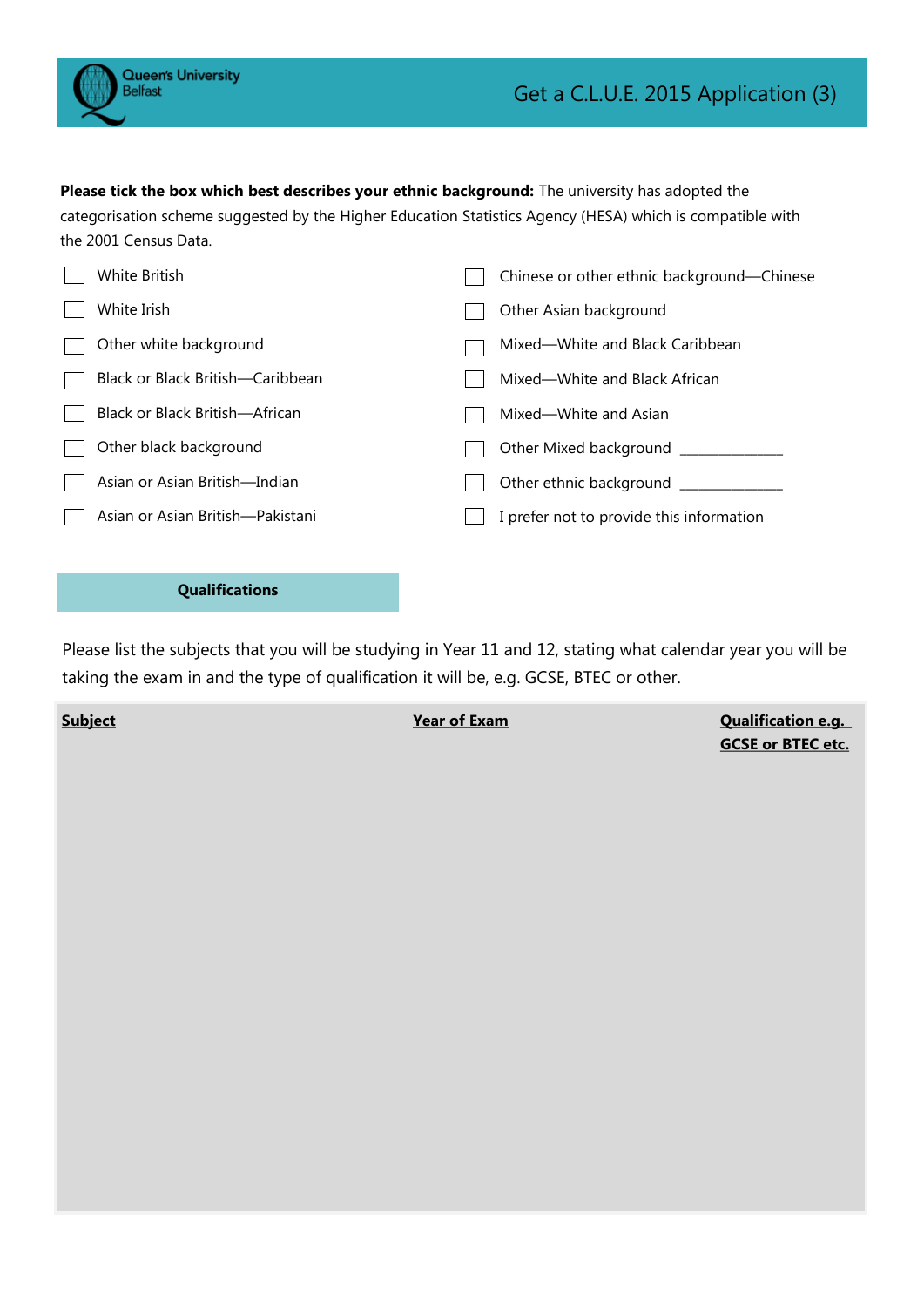**Please tick the box which best describes your ethnic background:** The university has adopted the categorisation scheme suggested by the Higher Education Statistics Agency (HESA) which is compatible with the 2001 Census Data.

| White British                    | Chinese or other ethnic background—Chinese |
|----------------------------------|--------------------------------------------|
| White Irish                      | Other Asian background                     |
| Other white background           | Mixed-White and Black Caribbean            |
| Black or Black British-Caribbean | Mixed—White and Black African              |
| Black or Black British—African   | Mixed—White and Asian                      |
| Other black background           | Other Mixed background                     |
| Asian or Asian British—Indian    | Other ethnic background                    |
| Asian or Asian British-Pakistani | I prefer not to provide this information   |
|                                  |                                            |

### **Qualifications**

Please list the subjects that you will be studying in Year 11 and 12, stating what calendar year you will be taking the exam in and the type of qualification it will be, e.g. GCSE, BTEC or other.

**Subject Year of Exam Qualification e.g. GCSE or BTEC etc.**